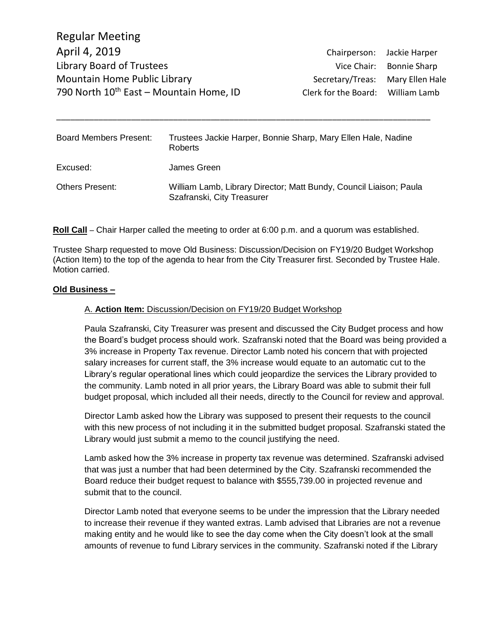| <b>Board Members Present:</b> | Trustees Jackie Harper, Bonnie Sharp, Mary Ellen Hale, Nadine<br>Roberts                         |
|-------------------------------|--------------------------------------------------------------------------------------------------|
| Excused:                      | James Green                                                                                      |
| <b>Others Present:</b>        | William Lamb, Library Director; Matt Bundy, Council Liaison; Paula<br>Szafranski, City Treasurer |

\_\_\_\_\_\_\_\_\_\_\_\_\_\_\_\_\_\_\_\_\_\_\_\_\_\_\_\_\_\_\_\_\_\_\_\_\_\_\_\_\_\_\_\_\_\_\_\_\_\_\_\_\_\_\_\_\_\_\_\_\_\_\_\_\_\_\_\_\_\_\_\_\_\_\_\_\_\_\_\_

#### **Roll Call** – Chair Harper called the meeting to order at 6:00 p.m. and a quorum was established.

Trustee Sharp requested to move Old Business: Discussion/Decision on FY19/20 Budget Workshop (Action Item) to the top of the agenda to hear from the City Treasurer first. Seconded by Trustee Hale. Motion carried.

#### **Old Business –**

#### A. **Action Item:** Discussion/Decision on FY19/20 Budget Workshop

Paula Szafranski, City Treasurer was present and discussed the City Budget process and how the Board's budget process should work. Szafranski noted that the Board was being provided a 3% increase in Property Tax revenue. Director Lamb noted his concern that with projected salary increases for current staff, the 3% increase would equate to an automatic cut to the Library's regular operational lines which could jeopardize the services the Library provided to the community. Lamb noted in all prior years, the Library Board was able to submit their full budget proposal, which included all their needs, directly to the Council for review and approval.

Director Lamb asked how the Library was supposed to present their requests to the council with this new process of not including it in the submitted budget proposal. Szafranski stated the Library would just submit a memo to the council justifying the need.

Lamb asked how the 3% increase in property tax revenue was determined. Szafranski advised that was just a number that had been determined by the City. Szafranski recommended the Board reduce their budget request to balance with \$555,739.00 in projected revenue and submit that to the council.

Director Lamb noted that everyone seems to be under the impression that the Library needed to increase their revenue if they wanted extras. Lamb advised that Libraries are not a revenue making entity and he would like to see the day come when the City doesn't look at the small amounts of revenue to fund Library services in the community. Szafranski noted if the Library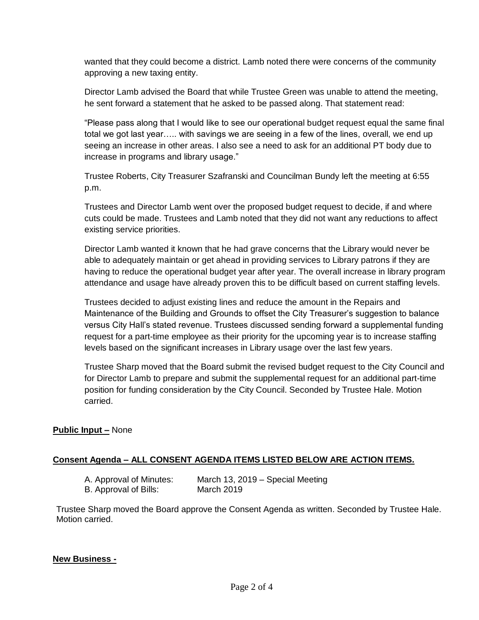wanted that they could become a district. Lamb noted there were concerns of the community approving a new taxing entity.

Director Lamb advised the Board that while Trustee Green was unable to attend the meeting, he sent forward a statement that he asked to be passed along. That statement read:

"Please pass along that I would like to see our operational budget request equal the same final total we got last year….. with savings we are seeing in a few of the lines, overall, we end up seeing an increase in other areas. I also see a need to ask for an additional PT body due to increase in programs and library usage."

Trustee Roberts, City Treasurer Szafranski and Councilman Bundy left the meeting at 6:55 p.m.

Trustees and Director Lamb went over the proposed budget request to decide, if and where cuts could be made. Trustees and Lamb noted that they did not want any reductions to affect existing service priorities.

Director Lamb wanted it known that he had grave concerns that the Library would never be able to adequately maintain or get ahead in providing services to Library patrons if they are having to reduce the operational budget year after year. The overall increase in library program attendance and usage have already proven this to be difficult based on current staffing levels.

Trustees decided to adjust existing lines and reduce the amount in the Repairs and Maintenance of the Building and Grounds to offset the City Treasurer's suggestion to balance versus City Hall's stated revenue. Trustees discussed sending forward a supplemental funding request for a part-time employee as their priority for the upcoming year is to increase staffing levels based on the significant increases in Library usage over the last few years.

Trustee Sharp moved that the Board submit the revised budget request to the City Council and for Director Lamb to prepare and submit the supplemental request for an additional part-time position for funding consideration by the City Council. Seconded by Trustee Hale. Motion carried.

## **Public Input –** None

## **Consent Agenda – ALL CONSENT AGENDA ITEMS LISTED BELOW ARE ACTION ITEMS.**

A. Approval of Minutes: March 13, 2019 – Special Meeting B. Approval of Bills: March 2019

Trustee Sharp moved the Board approve the Consent Agenda as written. Seconded by Trustee Hale. Motion carried.

#### **New Business -**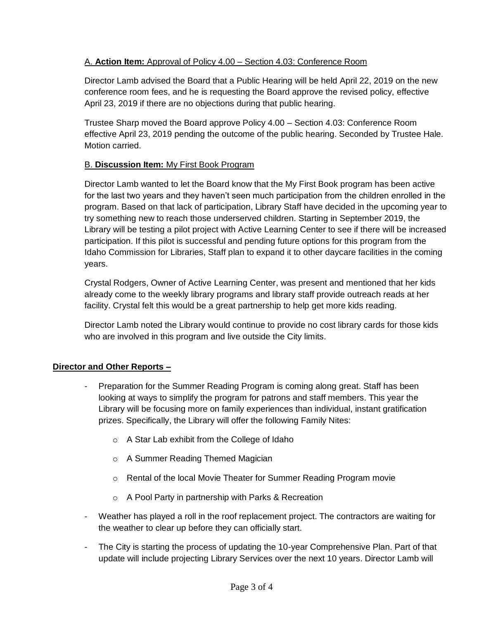# A. **Action Item:** Approval of Policy 4.00 – Section 4.03: Conference Room

Director Lamb advised the Board that a Public Hearing will be held April 22, 2019 on the new conference room fees, and he is requesting the Board approve the revised policy, effective April 23, 2019 if there are no objections during that public hearing.

Trustee Sharp moved the Board approve Policy 4.00 – Section 4.03: Conference Room effective April 23, 2019 pending the outcome of the public hearing. Seconded by Trustee Hale. Motion carried.

## B. **Discussion Item:** My First Book Program

Director Lamb wanted to let the Board know that the My First Book program has been active for the last two years and they haven't seen much participation from the children enrolled in the program. Based on that lack of participation, Library Staff have decided in the upcoming year to try something new to reach those underserved children. Starting in September 2019, the Library will be testing a pilot project with Active Learning Center to see if there will be increased participation. If this pilot is successful and pending future options for this program from the Idaho Commission for Libraries, Staff plan to expand it to other daycare facilities in the coming years.

Crystal Rodgers, Owner of Active Learning Center, was present and mentioned that her kids already come to the weekly library programs and library staff provide outreach reads at her facility. Crystal felt this would be a great partnership to help get more kids reading.

Director Lamb noted the Library would continue to provide no cost library cards for those kids who are involved in this program and live outside the City limits.

## **Director and Other Reports –**

- Preparation for the Summer Reading Program is coming along great. Staff has been looking at ways to simplify the program for patrons and staff members. This year the Library will be focusing more on family experiences than individual, instant gratification prizes. Specifically, the Library will offer the following Family Nites:
	- o A Star Lab exhibit from the College of Idaho
	- o A Summer Reading Themed Magician
	- o Rental of the local Movie Theater for Summer Reading Program movie
	- o A Pool Party in partnership with Parks & Recreation
- Weather has played a roll in the roof replacement project. The contractors are waiting for the weather to clear up before they can officially start.
- The City is starting the process of updating the 10-year Comprehensive Plan. Part of that update will include projecting Library Services over the next 10 years. Director Lamb will